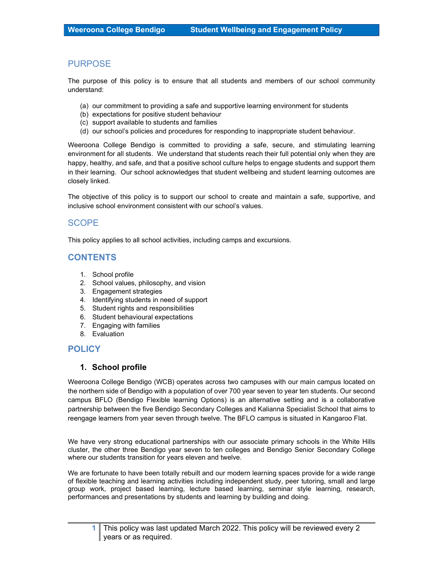## PURPOSE

The purpose of this policy is to ensure that all students and members of our school community understand:

- (a) our commitment to providing a safe and supportive learning environment for students
- (b) expectations for positive student behaviour
- (c) support available to students and families
- (d) our school's policies and procedures for responding to inappropriate student behaviour.

Weeroona College Bendigo is committed to providing a safe, secure, and stimulating learning environment for all students. We understand that students reach their full potential only when they are happy, healthy, and safe, and that a positive school culture helps to engage students and support them in their learning. Our school acknowledges that student wellbeing and student learning outcomes are closely linked.

The objective of this policy is to support our school to create and maintain a safe, supportive, and inclusive school environment consistent with our school's values.

# SCOPE

This policy applies to all school activities, including camps and excursions.

# CONTENTS

- 1. School profile
- 2. School values, philosophy, and vision
- 3. Engagement strategies
- 4. Identifying students in need of support
- 5. Student rights and responsibilities
- 6. Student behavioural expectations
- 7. Engaging with families
- 8. Evaluation

# POLICY

### 1. School profile

Weeroona College Bendigo (WCB) operates across two campuses with our main campus located on the northern side of Bendigo with a population of over 700 year seven to year ten students. Our second campus BFLO (Bendigo Flexible learning Options) is an alternative setting and is a collaborative partnership between the five Bendigo Secondary Colleges and Kalianna Specialist School that aims to reengage learners from year seven through twelve. The BFLO campus is situated in Kangaroo Flat.

We have very strong educational partnerships with our associate primary schools in the White Hills cluster, the other three Bendigo year seven to ten colleges and Bendigo Senior Secondary College where our students transition for years eleven and twelve.

We are fortunate to have been totally rebuilt and our modern learning spaces provide for a wide range of flexible teaching and learning activities including independent study, peer tutoring, small and large group work, project based learning, lecture based learning, seminar style learning, research, performances and presentations by students and learning by building and doing.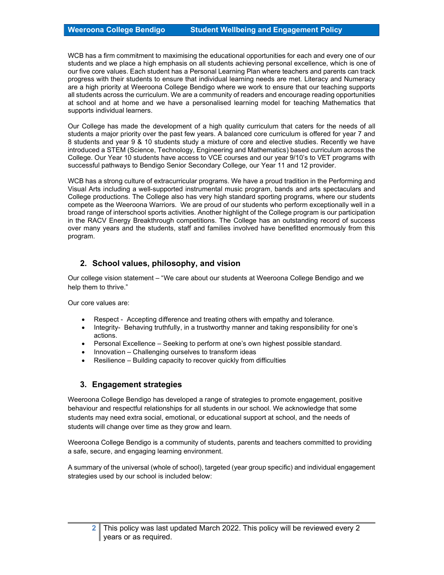WCB has a firm commitment to maximising the educational opportunities for each and every one of our students and we place a high emphasis on all students achieving personal excellence, which is one of our five core values. Each student has a Personal Learning Plan where teachers and parents can track progress with their students to ensure that individual learning needs are met. Literacy and Numeracy are a high priority at Weeroona College Bendigo where we work to ensure that our teaching supports all students across the curriculum. We are a community of readers and encourage reading opportunities at school and at home and we have a personalised learning model for teaching Mathematics that supports individual learners.

Our College has made the development of a high quality curriculum that caters for the needs of all students a major priority over the past few years. A balanced core curriculum is offered for year 7 and 8 students and year 9 & 10 students study a mixture of core and elective studies. Recently we have introduced a STEM (Science, Technology, Engineering and Mathematics) based curriculum across the College. Our Year 10 students have access to VCE courses and our year 9/10's to VET programs with successful pathways to Bendigo Senior Secondary College, our Year 11 and 12 provider.

WCB has a strong culture of extracurricular programs. We have a proud tradition in the Performing and Visual Arts including a well-supported instrumental music program, bands and arts spectaculars and College productions. The College also has very high standard sporting programs, where our students compete as the Weeroona Warriors. We are proud of our students who perform exceptionally well in a broad range of interschool sports activities. Another highlight of the College program is our participation in the RACV Energy Breakthrough competitions. The College has an outstanding record of success over many years and the students, staff and families involved have benefitted enormously from this program.

## 2. School values, philosophy, and vision

Our college vision statement – "We care about our students at Weeroona College Bendigo and we help them to thrive."

Our core values are:

- Respect Accepting difference and treating others with empathy and tolerance.
- Integrity- Behaving truthfully, in a trustworthy manner and taking responsibility for one's actions.
- Personal Excellence Seeking to perform at one's own highest possible standard.
- Innovation Challenging ourselves to transform ideas
- Resilience Building capacity to recover quickly from difficulties

### 3. Engagement strategies

Weeroona College Bendigo has developed a range of strategies to promote engagement, positive behaviour and respectful relationships for all students in our school. We acknowledge that some students may need extra social, emotional, or educational support at school, and the needs of students will change over time as they grow and learn.

Weeroona College Bendigo is a community of students, parents and teachers committed to providing a safe, secure, and engaging learning environment.

A summary of the universal (whole of school), targeted (year group specific) and individual engagement strategies used by our school is included below: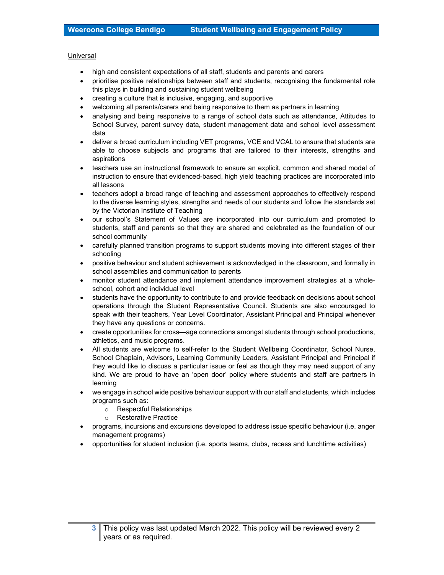#### Universal

- high and consistent expectations of all staff, students and parents and carers
- prioritise positive relationships between staff and students, recognising the fundamental role this plays in building and sustaining student wellbeing
- creating a culture that is inclusive, engaging, and supportive
- welcoming all parents/carers and being responsive to them as partners in learning
- analysing and being responsive to a range of school data such as attendance, Attitudes to School Survey, parent survey data, student management data and school level assessment data
- deliver a broad curriculum including VET programs, VCE and VCAL to ensure that students are able to choose subjects and programs that are tailored to their interests, strengths and aspirations
- teachers use an instructional framework to ensure an explicit, common and shared model of instruction to ensure that evidenced-based, high yield teaching practices are incorporated into all lessons
- teachers adopt a broad range of teaching and assessment approaches to effectively respond to the diverse learning styles, strengths and needs of our students and follow the standards set by the Victorian Institute of Teaching
- our school's Statement of Values are incorporated into our curriculum and promoted to students, staff and parents so that they are shared and celebrated as the foundation of our school community
- carefully planned transition programs to support students moving into different stages of their schooling
- positive behaviour and student achievement is acknowledged in the classroom, and formally in school assemblies and communication to parents
- monitor student attendance and implement attendance improvement strategies at a wholeschool, cohort and individual level
- students have the opportunity to contribute to and provide feedback on decisions about school operations through the Student Representative Council. Students are also encouraged to speak with their teachers, Year Level Coordinator, Assistant Principal and Principal whenever they have any questions or concerns.
- create opportunities for cross—age connections amongst students through school productions, athletics, and music programs.
- All students are welcome to self-refer to the Student Wellbeing Coordinator, School Nurse, School Chaplain, Advisors, Learning Community Leaders, Assistant Principal and Principal if they would like to discuss a particular issue or feel as though they may need support of any kind. We are proud to have an 'open door' policy where students and staff are partners in learning
- we engage in school wide positive behaviour support with our staff and students, which includes programs such as:
	- o Respectful Relationships
	- o Restorative Practice
- programs, incursions and excursions developed to address issue specific behaviour (i.e. anger management programs)
- opportunities for student inclusion (i.e. sports teams, clubs, recess and lunchtime activities)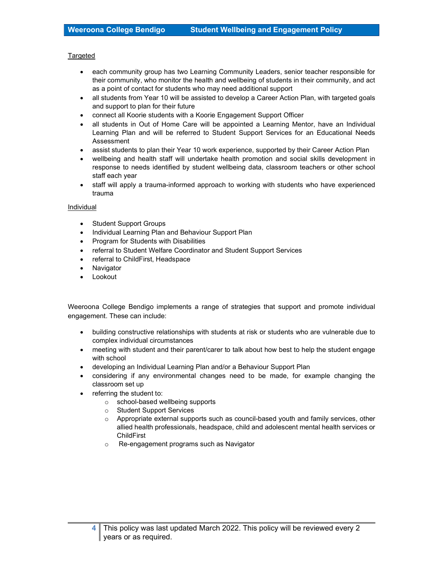#### Targeted

- each community group has two Learning Community Leaders, senior teacher responsible for their community, who monitor the health and wellbeing of students in their community, and act as a point of contact for students who may need additional support
- all students from Year 10 will be assisted to develop a Career Action Plan, with targeted goals and support to plan for their future
- connect all Koorie students with a Koorie Engagement Support Officer
- all students in Out of Home Care will be appointed a Learning Mentor, have an Individual Learning Plan and will be referred to Student Support Services for an Educational Needs Assessment
- assist students to plan their Year 10 work experience, supported by their Career Action Plan
- wellbeing and health staff will undertake health promotion and social skills development in response to needs identified by student wellbeing data, classroom teachers or other school staff each year
- staff will apply a trauma-informed approach to working with students who have experienced trauma

#### Individual

- Student Support Groups
- Individual Learning Plan and Behaviour Support Plan
- Program for Students with Disabilities
- referral to Student Welfare Coordinator and Student Support Services
- referral to ChildFirst, Headspace
- Navigator
- Lookout

Weeroona College Bendigo implements a range of strategies that support and promote individual engagement. These can include:

- building constructive relationships with students at risk or students who are vulnerable due to complex individual circumstances
- meeting with student and their parent/carer to talk about how best to help the student engage with school
- developing an Individual Learning Plan and/or a Behaviour Support Plan
- considering if any environmental changes need to be made, for example changing the classroom set up
- referring the student to:
	- o school-based wellbeing supports
	- o Student Support Services
	- o Appropriate external supports such as council-based youth and family services, other allied health professionals, headspace, child and adolescent mental health services or **ChildFirst**
	- o Re-engagement programs such as Navigator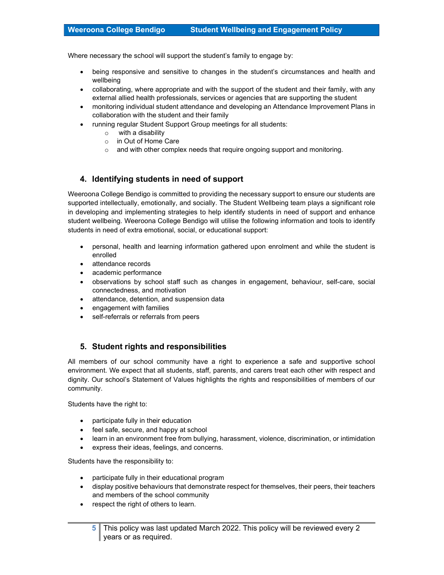Where necessary the school will support the student's family to engage by:

- being responsive and sensitive to changes in the student's circumstances and health and wellbeing
- collaborating, where appropriate and with the support of the student and their family, with any external allied health professionals, services or agencies that are supporting the student
- monitoring individual student attendance and developing an Attendance Improvement Plans in collaboration with the student and their family
- running regular Student Support Group meetings for all students:
	- o with a disability
	- o in Out of Home Care
	- $\circ$  and with other complex needs that require ongoing support and monitoring.

## 4. Identifying students in need of support

Weeroona College Bendigo is committed to providing the necessary support to ensure our students are supported intellectually, emotionally, and socially. The Student Wellbeing team plays a significant role in developing and implementing strategies to help identify students in need of support and enhance student wellbeing. Weeroona College Bendigo will utilise the following information and tools to identify students in need of extra emotional, social, or educational support:

- personal, health and learning information gathered upon enrolment and while the student is enrolled
- attendance records
- academic performance
- observations by school staff such as changes in engagement, behaviour, self-care, social connectedness, and motivation
- attendance, detention, and suspension data
- engagement with families
- self-referrals or referrals from peers

### 5. Student rights and responsibilities

All members of our school community have a right to experience a safe and supportive school environment. We expect that all students, staff, parents, and carers treat each other with respect and dignity. Our school's Statement of Values highlights the rights and responsibilities of members of our community.

Students have the right to:

- participate fully in their education
- feel safe, secure, and happy at school
- learn in an environment free from bullying, harassment, violence, discrimination, or intimidation
- express their ideas, feelings, and concerns.

Students have the responsibility to:

- participate fully in their educational program
- display positive behaviours that demonstrate respect for themselves, their peers, their teachers and members of the school community
- respect the right of others to learn.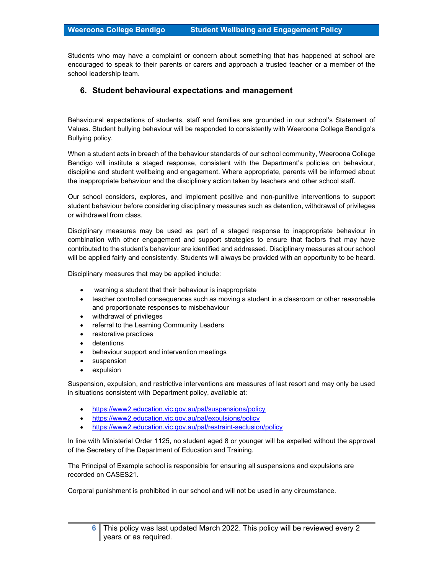Students who may have a complaint or concern about something that has happened at school are encouraged to speak to their parents or carers and approach a trusted teacher or a member of the school leadership team.

### 6. Student behavioural expectations and management

Behavioural expectations of students, staff and families are grounded in our school's Statement of Values. Student bullying behaviour will be responded to consistently with Weeroona College Bendigo's Bullying policy.

When a student acts in breach of the behaviour standards of our school community, Weeroona College Bendigo will institute a staged response, consistent with the Department's policies on behaviour, discipline and student wellbeing and engagement. Where appropriate, parents will be informed about the inappropriate behaviour and the disciplinary action taken by teachers and other school staff.

Our school considers, explores, and implement positive and non-punitive interventions to support student behaviour before considering disciplinary measures such as detention, withdrawal of privileges or withdrawal from class.

Disciplinary measures may be used as part of a staged response to inappropriate behaviour in combination with other engagement and support strategies to ensure that factors that may have contributed to the student's behaviour are identified and addressed. Disciplinary measures at our school will be applied fairly and consistently. Students will always be provided with an opportunity to be heard.

Disciplinary measures that may be applied include:

- warning a student that their behaviour is inappropriate
- teacher controlled consequences such as moving a student in a classroom or other reasonable and proportionate responses to misbehaviour
- withdrawal of privileges
- referral to the Learning Community Leaders
- restorative practices
- detentions
- behaviour support and intervention meetings
- suspension
- expulsion

Suspension, expulsion, and restrictive interventions are measures of last resort and may only be used in situations consistent with Department policy, available at:

- https://www2.education.vic.gov.au/pal/suspensions/policy
- https://www2.education.vic.gov.au/pal/expulsions/policy
- https://www2.education.vic.gov.au/pal/restraint-seclusion/policy

In line with Ministerial Order 1125, no student aged 8 or younger will be expelled without the approval of the Secretary of the Department of Education and Training.

The Principal of Example school is responsible for ensuring all suspensions and expulsions are recorded on CASES21.

Corporal punishment is prohibited in our school and will not be used in any circumstance.